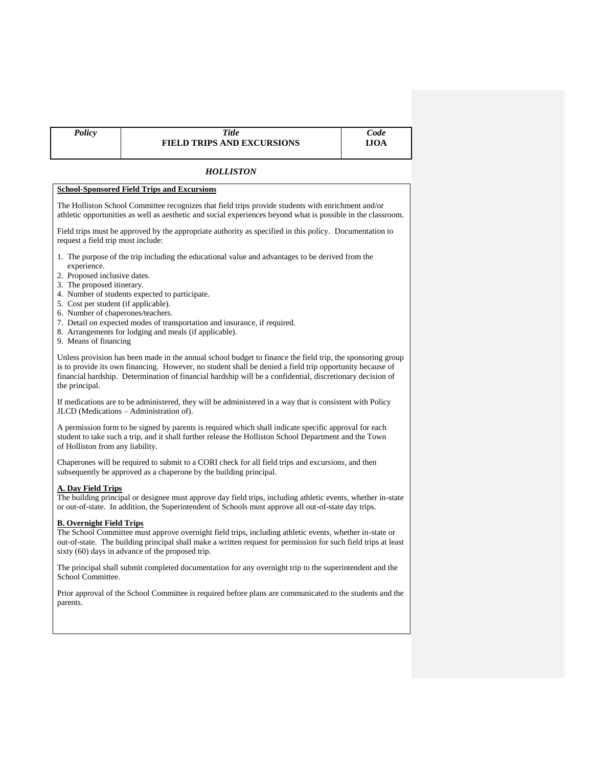# *HOLLISTON*

## **School-Sponsored Field Trips and Excursions**

The Holliston School Committee recognizes that field trips provide students with enrichment and/or athletic opportunities as well as aesthetic and social experiences beyond what is possible in the classroom.

Field trips must be approved by the appropriate authority as specified in this policy. Documentation to request a field trip must include:

- 1. The purpose of the trip including the educational value and advantages to be derived from the experience.
- 2. Proposed inclusive dates.
- 3. The proposed itinerary.
- 4. Number of students expected to participate.
- 5. Cost per student (if applicable).
- 6. Number of chaperones/teachers.
- 7. Detail on expected modes of transportation and insurance, if required.
- 8. Arrangements for lodging and meals (if applicable).
- 9. Means of financing

Unless provision has been made in the annual school budget to finance the field trip, the sponsoring group is to provide its own financing. However, no student shall be denied a field trip opportunity because of financial hardship. Determination of financial hardship will be a confidential, discretionary decision of the principal.

If medications are to be administered, they will be administered in a way that is consistent with Policy JLCD (Medications – Administration of).

A permission form to be signed by parents is required which shall indicate specific approval for each student to take such a trip, and it shall further release the Holliston School Department and the Town of Holliston from any liability.

Chaperones will be required to submit to a CORI check for all field trips and excursions, and then subsequently be approved as a chaperone by the building principal.

#### **A. Day Field Trips**

The building principal or designee must approve day field trips, including athletic events, whether in-state or out-of-state. In addition, the Superintendent of Schools must approve all out-of-state day trips.

## **B. Overnight Field Trips**

The School Committee must approve overnight field trips, including athletic events, whether in-state or out-of-state. The building principal shall make a written request for permission for such field trips at least sixty (60) days in advance of the proposed trip.

The principal shall submit completed documentation for any overnight trip to the superintendent and the School Committee.

Prior approval of the School Committee is required before plans are communicated to the students and the parents.